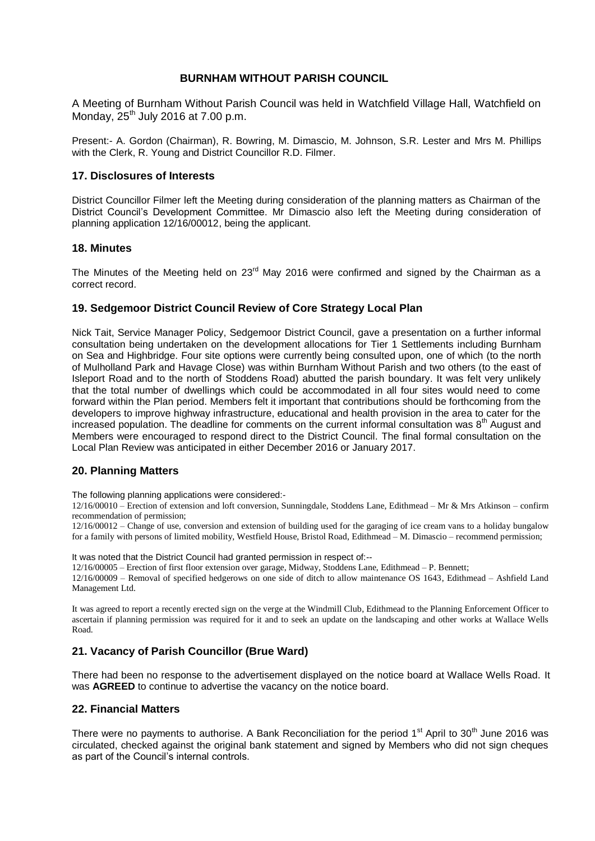## **BURNHAM WITHOUT PARISH COUNCIL**

A Meeting of Burnham Without Parish Council was held in Watchfield Village Hall, Watchfield on Monday, 25<sup>th</sup> July 2016 at 7.00 p.m.

Present:- A. Gordon (Chairman), R. Bowring, M. Dimascio, M. Johnson, S.R. Lester and Mrs M. Phillips with the Clerk, R. Young and District Councillor R.D. Filmer.

## **17. Disclosures of Interests**

District Councillor Filmer left the Meeting during consideration of the planning matters as Chairman of the District Council's Development Committee. Mr Dimascio also left the Meeting during consideration of planning application 12/16/00012, being the applicant.

### **18. Minutes**

The Minutes of the Meeting held on  $23<sup>rd</sup>$  May 2016 were confirmed and signed by the Chairman as a correct record.

# **19. Sedgemoor District Council Review of Core Strategy Local Plan**

Nick Tait, Service Manager Policy, Sedgemoor District Council, gave a presentation on a further informal consultation being undertaken on the development allocations for Tier 1 Settlements including Burnham on Sea and Highbridge. Four site options were currently being consulted upon, one of which (to the north of Mulholland Park and Havage Close) was within Burnham Without Parish and two others (to the east of Isleport Road and to the north of Stoddens Road) abutted the parish boundary. It was felt very unlikely that the total number of dwellings which could be accommodated in all four sites would need to come forward within the Plan period. Members felt it important that contributions should be forthcoming from the developers to improve highway infrastructure, educational and health provision in the area to cater for the increased population. The deadline for comments on the current informal consultation was  $8<sup>th</sup>$  August and Members were encouraged to respond direct to the District Council. The final formal consultation on the Local Plan Review was anticipated in either December 2016 or January 2017.

### **20. Planning Matters**

The following planning applications were considered:-

12/16/00010 – Erection of extension and loft conversion, Sunningdale, Stoddens Lane, Edithmead – Mr & Mrs Atkinson – confirm recommendation of permission;

12/16/00012 – Change of use, conversion and extension of building used for the garaging of ice cream vans to a holiday bungalow for a family with persons of limited mobility, Westfield House, Bristol Road, Edithmead – M. Dimascio – recommend permission;

It was noted that the District Council had granted permission in respect of:--

12/16/00005 – Erection of first floor extension over garage, Midway, Stoddens Lane, Edithmead – P. Bennett;

12/16/00009 – Removal of specified hedgerows on one side of ditch to allow maintenance OS 1643, Edithmead – Ashfield Land Management Ltd.

It was agreed to report a recently erected sign on the verge at the Windmill Club, Edithmead to the Planning Enforcement Officer to ascertain if planning permission was required for it and to seek an update on the landscaping and other works at Wallace Wells Road.

# **21. Vacancy of Parish Councillor (Brue Ward)**

There had been no response to the advertisement displayed on the notice board at Wallace Wells Road. It was **AGREED** to continue to advertise the vacancy on the notice board.

### **22. Financial Matters**

There were no payments to authorise. A Bank Reconciliation for the period  $1<sup>st</sup>$  April to  $30<sup>th</sup>$  June 2016 was circulated, checked against the original bank statement and signed by Members who did not sign cheques as part of the Council's internal controls.